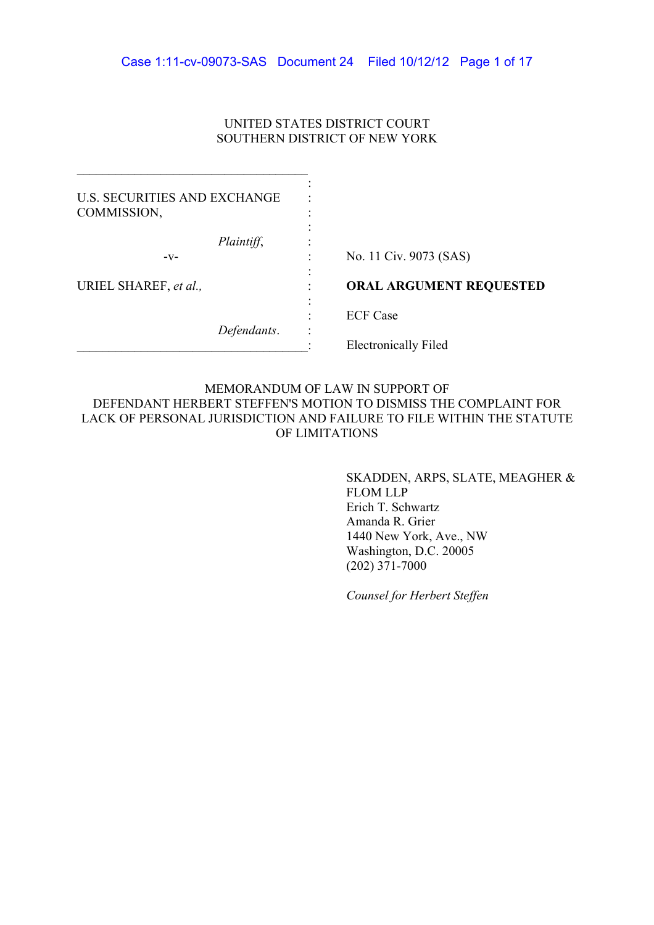# UNITED STATES DISTRICT COURT SOUTHERN DISTRICT OF NEW YORK

| <b>U.S. SECURITIES AND EXCHANGE</b><br>COMMISSION, |                                |
|----------------------------------------------------|--------------------------------|
| Plaintiff,<br>-V-                                  | No. 11 Civ. 9073 (SAS)         |
| URIEL SHAREF, et al.,                              | <b>ORAL ARGUMENT REQUESTED</b> |
|                                                    | <b>ECF</b> Case                |
| Defendants.                                        | <b>Electronically Filed</b>    |

# MEMORANDUM OF LAW IN SUPPORT OF DEFENDANT HERBERT STEFFEN'S MOTION TO DISMISS THE COMPLAINT FOR LACK OF PERSONAL JURISDICTION AND FAILURE TO FILE WITHIN THE STATUTE OF LIMITATIONS

SKADDEN, ARPS, SLATE, MEAGHER & **FLOM LLP** Erich T. Schwartz Amanda R. Grier 1440 New York, Ave., NW Washington, D.C. 20005  $(202)$  371-7000

Counsel for Herbert Steffen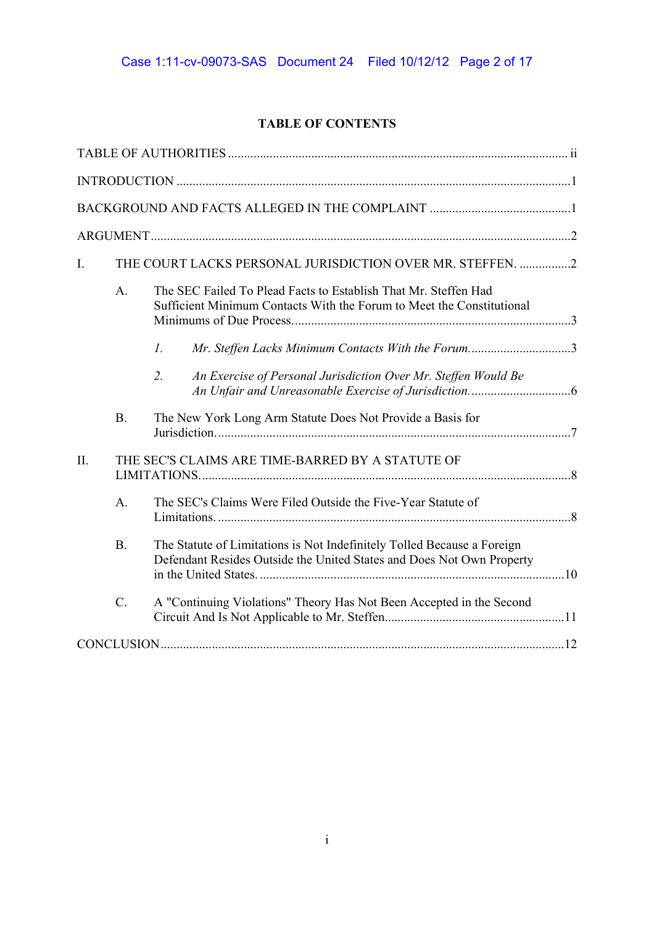# **TABLE OF CONTENTS**

| Ι.  |           | THE COURT LACKS PERSONAL JURISDICTION OVER MR. STEFFEN. 2                                                                                        |  |
|-----|-----------|--------------------------------------------------------------------------------------------------------------------------------------------------|--|
|     | A.        | The SEC Failed To Plead Facts to Establish That Mr. Steffen Had<br>Sufficient Minimum Contacts With the Forum to Meet the Constitutional         |  |
|     |           | Mr. Steffen Lacks Minimum Contacts With the Forum3<br>$\mathcal{I}$ .                                                                            |  |
|     |           | An Exercise of Personal Jurisdiction Over Mr. Steffen Would Be<br>2.                                                                             |  |
|     | <b>B.</b> | The New York Long Arm Statute Does Not Provide a Basis for                                                                                       |  |
| II. |           | THE SEC'S CLAIMS ARE TIME-BARRED BY A STATUTE OF                                                                                                 |  |
|     | A.        | The SEC's Claims Were Filed Outside the Five-Year Statute of                                                                                     |  |
|     | B.        | The Statute of Limitations is Not Indefinitely Tolled Because a Foreign<br>Defendant Resides Outside the United States and Does Not Own Property |  |
|     | $C$ .     | A "Continuing Violations" Theory Has Not Been Accepted in the Second                                                                             |  |
|     |           |                                                                                                                                                  |  |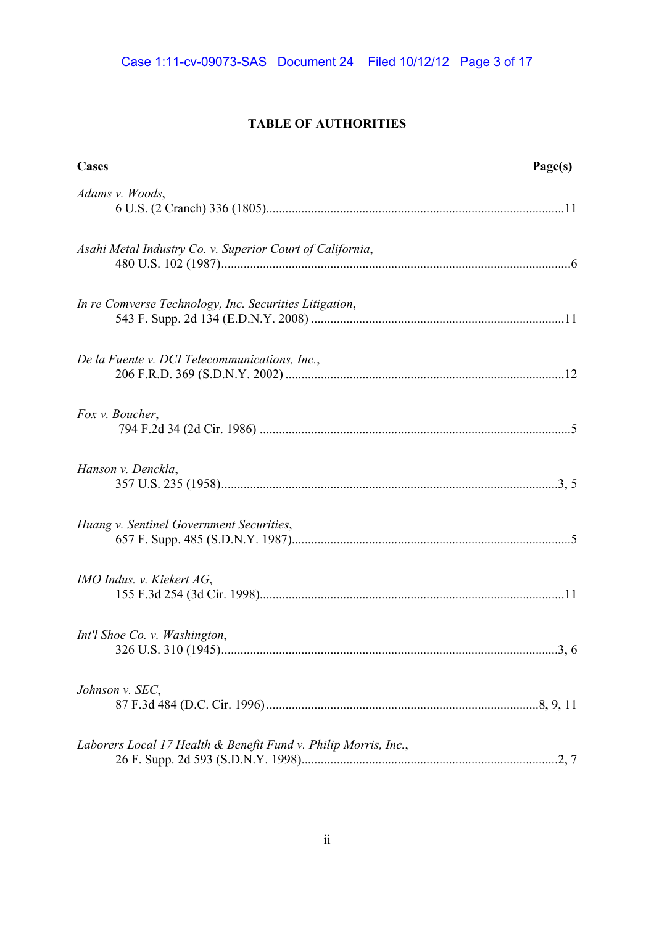# **TABLE OF AUTHORITIES**

| Cases                                                           | Page(s) |
|-----------------------------------------------------------------|---------|
| Adams v. Woods,                                                 |         |
| Asahi Metal Industry Co. v. Superior Court of California,       |         |
| In re Comverse Technology, Inc. Securities Litigation,          |         |
| De la Fuente v. DCI Telecommunications, Inc.,                   |         |
| Fox v. Boucher,                                                 |         |
| Hanson v. Denckla,                                              |         |
| Huang v. Sentinel Government Securities,                        |         |
| <i>IMO Indus. v. Kiekert AG,</i>                                |         |
| Int'l Shoe Co. v. Washington,                                   | 3, 6    |
| Johnson v. SEC,                                                 |         |
| Laborers Local 17 Health & Benefit Fund v. Philip Morris, Inc., |         |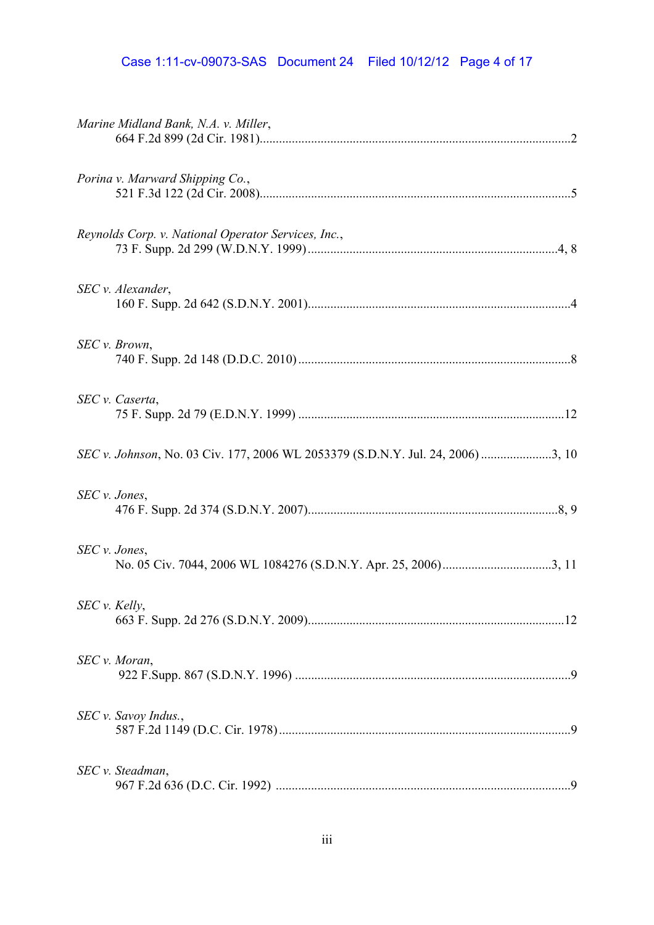# Case 1:11-cv-09073-SAS Document 24 Filed 10/12/12 Page 4 of 17

| Marine Midland Bank, N.A. v. Miller,                                            |  |
|---------------------------------------------------------------------------------|--|
| Porina v. Marward Shipping Co.,                                                 |  |
| Reynolds Corp. v. National Operator Services, Inc.,                             |  |
| SEC v. Alexander,                                                               |  |
| SEC v. Brown,                                                                   |  |
| SEC v. Caserta,                                                                 |  |
| SEC v. Johnson, No. 03 Civ. 177, 2006 WL 2053379 (S.D.N.Y. Jul. 24, 2006) 3, 10 |  |
| SEC v. Jones,                                                                   |  |
| SEC v. Jones,                                                                   |  |
| SEC v. Kelly,                                                                   |  |
| SEC v. Moran,                                                                   |  |
| SEC v. Savoy Indus.,                                                            |  |
| SEC v. Steadman,                                                                |  |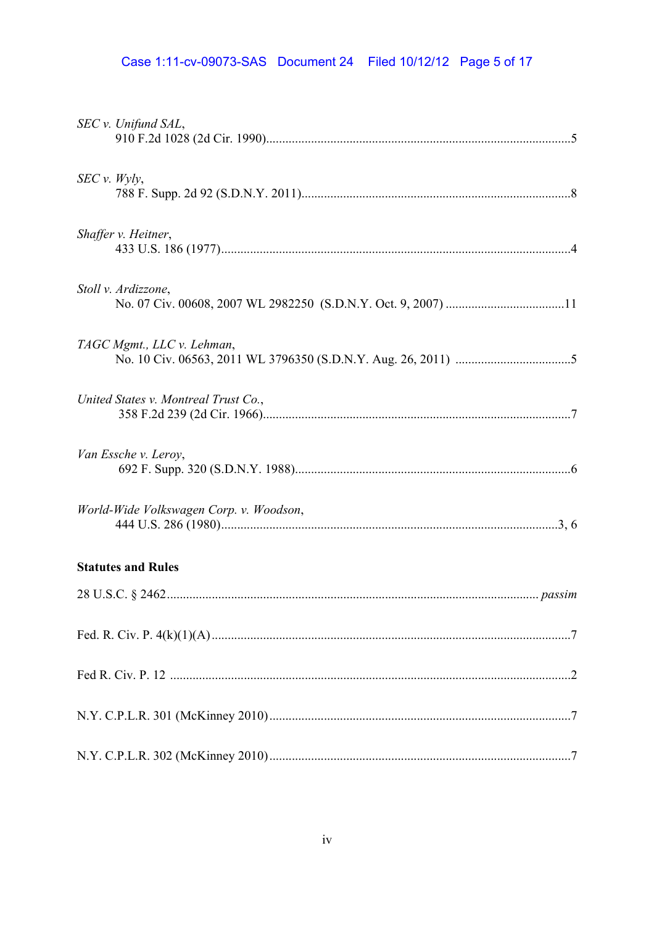# Case 1:11-cv-09073-SAS Document 24 Filed 10/12/12 Page 5 of 17

| SEC v. Unifund SAL,                     |  |
|-----------------------------------------|--|
| SEC v. Wyly,                            |  |
| Shaffer v. Heitner,                     |  |
| Stoll v. Ardizzone,                     |  |
| TAGC Mgmt., LLC v. Lehman,              |  |
| United States v. Montreal Trust Co.,    |  |
| Van Essche v. Leroy,                    |  |
| World-Wide Volkswagen Corp. v. Woodson, |  |
| <b>Statutes and Rules</b>               |  |
|                                         |  |
|                                         |  |
|                                         |  |
|                                         |  |
|                                         |  |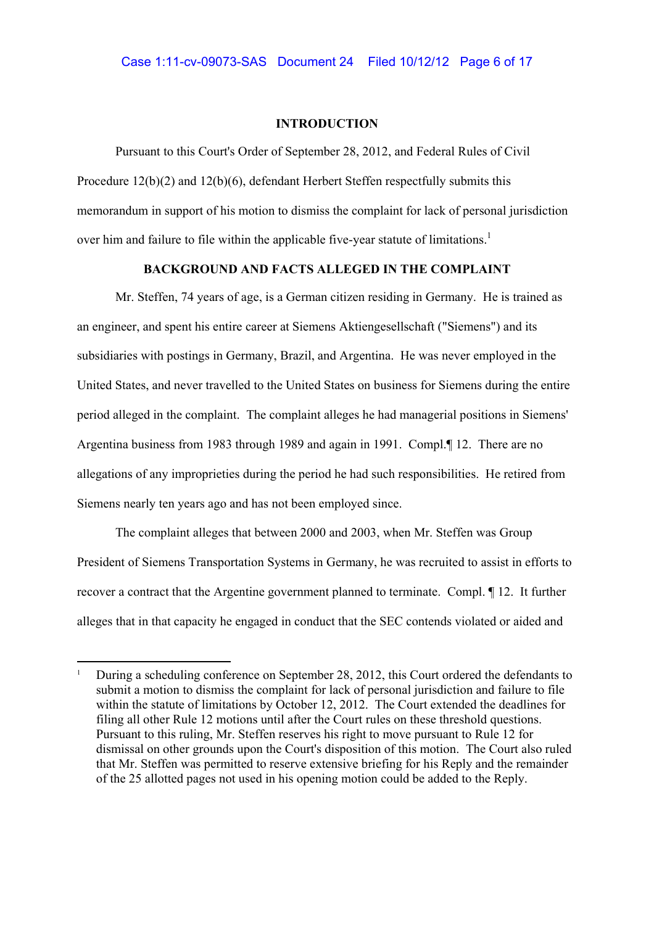## **INTRODUCTION**

Pursuant to this Court's Order of September 28, 2012, and Federal Rules of Civil Procedure 12(b)(2) and 12(b)(6), defendant Herbert Steffen respectfully submits this memorandum in support of his motion to dismiss the complaint for lack of personal jurisdiction over him and failure to file within the applicable five-year statute of limitations.<sup>1</sup>

# **BACKGROUND AND FACTS ALLEGED IN THE COMPLAINT**

Mr. Steffen, 74 years of age, is a German citizen residing in Germany. He is trained as an engineer, and spent his entire career at Siemens Aktiengesellschaft ("Siemens") and its subsidiaries with postings in Germany, Brazil, and Argentina. He was never employed in the United States, and never travelled to the United States on business for Siemens during the entire period alleged in the complaint. The complaint alleges he had managerial positions in Siemens' Argentina business from 1983 through 1989 and again in 1991. Compl.¶ 12. There are no allegations of any improprieties during the period he had such responsibilities. He retired from Siemens nearly ten years ago and has not been employed since.

The complaint alleges that between 2000 and 2003, when Mr. Steffen was Group President of Siemens Transportation Systems in Germany, he was recruited to assist in efforts to recover a contract that the Argentine government planned to terminate. Compl. ¶ 12. It further alleges that in that capacity he engaged in conduct that the SEC contends violated or aided and

During a scheduling conference on September 28, 2012, this Court ordered the defendants to submit a motion to dismiss the complaint for lack of personal jurisdiction and failure to file within the statute of limitations by October 12, 2012. The Court extended the deadlines for filing all other Rule 12 motions until after the Court rules on these threshold questions. Pursuant to this ruling, Mr. Steffen reserves his right to move pursuant to Rule 12 for dismissal on other grounds upon the Court's disposition of this motion. The Court also ruled that Mr. Steffen was permitted to reserve extensive briefing for his Reply and the remainder of the 25 allotted pages not used in his opening motion could be added to the Reply.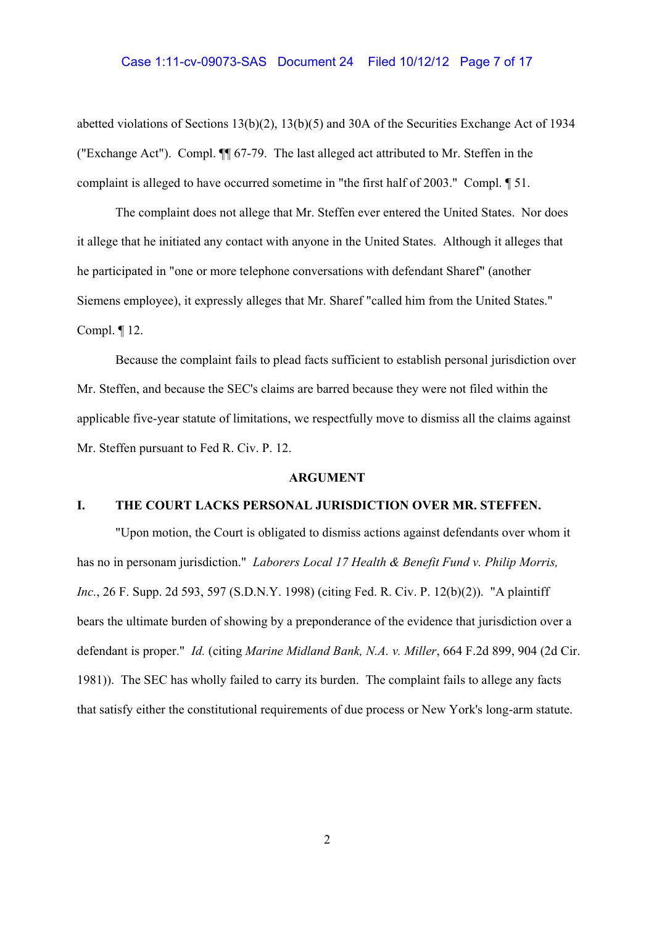### Case 1:11-cv-09073-SAS Document 24 Filed 10/12/12 Page 7 of 17

abetted violations of Sections 13(b)(2), 13(b)(5) and 30A of the Securities Exchange Act of 1934 ("Exchange Act"). Compl. ¶¶ 67-79. The last alleged act attributed to Mr. Steffen in the complaint is alleged to have occurred sometime in "the first half of 2003." Compl. ¶ 51.

The complaint does not allege that Mr. Steffen ever entered the United States. Nor does it allege that he initiated any contact with anyone in the United States. Although it alleges that he participated in "one or more telephone conversations with defendant Sharef" (another Siemens employee), it expressly alleges that Mr. Sharef "called him from the United States." Compl. ¶ 12.

Because the complaint fails to plead facts sufficient to establish personal jurisdiction over Mr. Steffen, and because the SEC's claims are barred because they were not filed within the applicable five-year statute of limitations, we respectfully move to dismiss all the claims against Mr. Steffen pursuant to Fed R. Civ. P. 12.

## **ARGUMENT**

# **I. THE COURT LACKS PERSONAL JURISDICTION OVER MR. STEFFEN.**

"Upon motion, the Court is obligated to dismiss actions against defendants over whom it has no in personam jurisdiction." *Laborers Local 17 Health & Benefit Fund v. Philip Morris, Inc.*, 26 F. Supp. 2d 593, 597 (S.D.N.Y. 1998) (citing Fed. R. Civ. P. 12(b)(2)). "A plaintiff bears the ultimate burden of showing by a preponderance of the evidence that jurisdiction over a defendant is proper." *Id.* (citing *Marine Midland Bank, N.A. v. Miller*, 664 F.2d 899, 904 (2d Cir. 1981)). The SEC has wholly failed to carry its burden. The complaint fails to allege any facts that satisfy either the constitutional requirements of due process or New York's long-arm statute.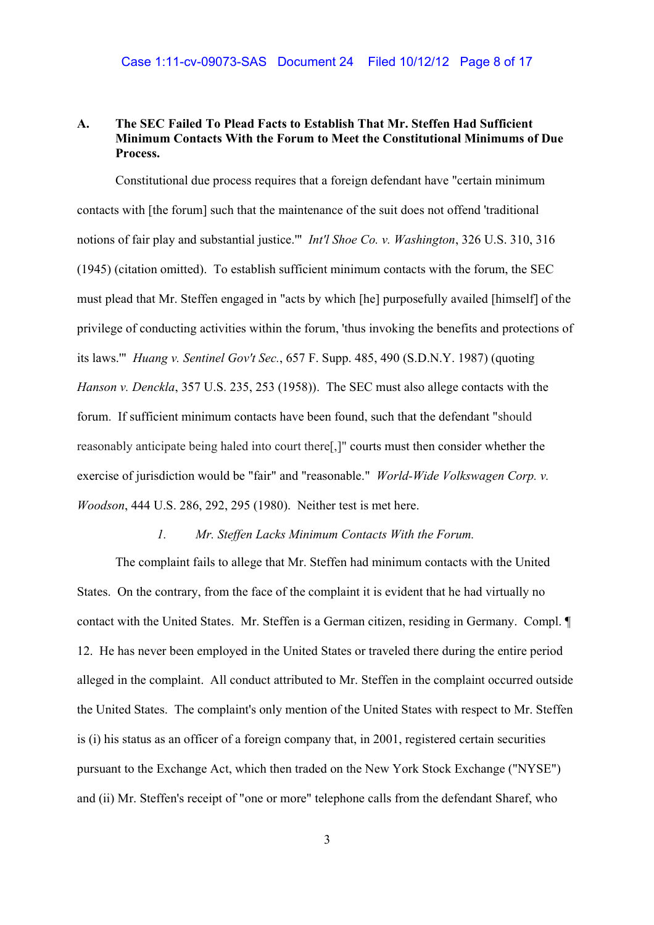# **A. The SEC Failed To Plead Facts to Establish That Mr. Steffen Had Sufficient Minimum Contacts With the Forum to Meet the Constitutional Minimums of Due Process.**

Constitutional due process requires that a foreign defendant have "certain minimum contacts with [the forum] such that the maintenance of the suit does not offend 'traditional notions of fair play and substantial justice.'" *Int'l Shoe Co. v. Washington*, 326 U.S. 310, 316 (1945) (citation omitted). To establish sufficient minimum contacts with the forum, the SEC must plead that Mr. Steffen engaged in "acts by which [he] purposefully availed [himself] of the privilege of conducting activities within the forum, 'thus invoking the benefits and protections of its laws.'" *Huang v. Sentinel Gov't Sec.*, 657 F. Supp. 485, 490 (S.D.N.Y. 1987) (quoting *Hanson v. Denckla*, 357 U.S. 235, 253 (1958)). The SEC must also allege contacts with the forum. If sufficient minimum contacts have been found, such that the defendant "should reasonably anticipate being haled into court there[,]" courts must then consider whether the exercise of jurisdiction would be "fair" and "reasonable." *World-Wide Volkswagen Corp. v. Woodson*, 444 U.S. 286, 292, 295 (1980). Neither test is met here.

# *1. Mr. Steffen Lacks Minimum Contacts With the Forum.*

The complaint fails to allege that Mr. Steffen had minimum contacts with the United States. On the contrary, from the face of the complaint it is evident that he had virtually no contact with the United States. Mr. Steffen is a German citizen, residing in Germany. Compl. ¶ 12. He has never been employed in the United States or traveled there during the entire period alleged in the complaint. All conduct attributed to Mr. Steffen in the complaint occurred outside the United States. The complaint's only mention of the United States with respect to Mr. Steffen is (i) his status as an officer of a foreign company that, in 2001, registered certain securities pursuant to the Exchange Act, which then traded on the New York Stock Exchange ("NYSE") and (ii) Mr. Steffen's receipt of "one or more" telephone calls from the defendant Sharef, who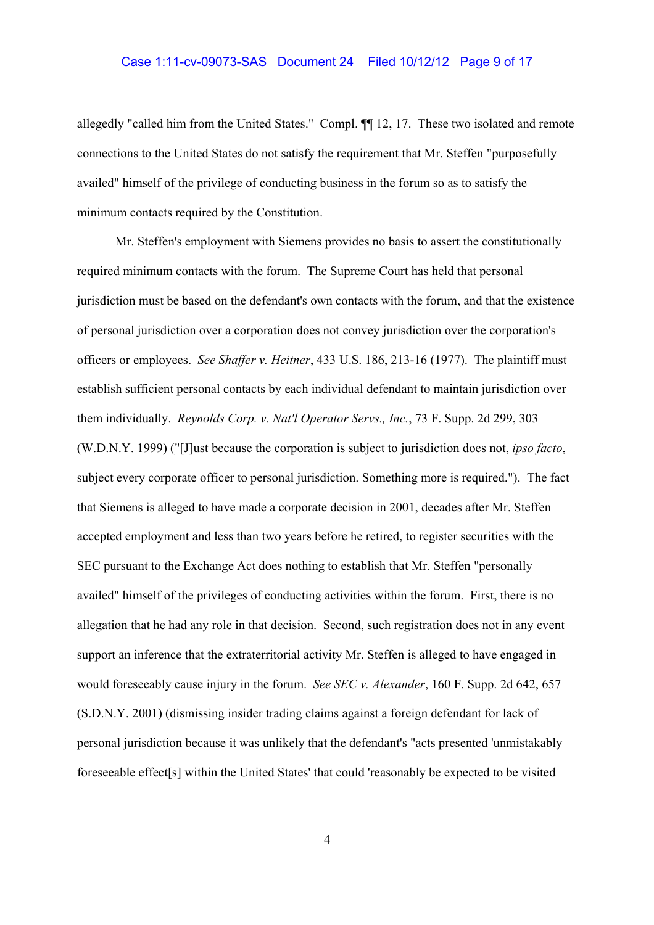# Case 1:11-cv-09073-SAS Document 24 Filed 10/12/12 Page 9 of 17

allegedly "called him from the United States." Compl. ¶ 12, 17. These two isolated and remote connections to the United States do not satisfy the requirement that Mr. Steffen "purposefully availed" himself of the privilege of conducting business in the forum so as to satisfy the minimum contacts required by the Constitution.

Mr. Steffen's employment with Siemens provides no basis to assert the constitutionally required minimum contacts with the forum. The Supreme Court has held that personal jurisdiction must be based on the defendant's own contacts with the forum, and that the existence of personal jurisdiction over a corporation does not convey jurisdiction over the corporation's officers or employees. See Shaffer v. Heitner, 433 U.S. 186, 213-16 (1977). The plaintiff must establish sufficient personal contacts by each individual defendant to maintain jurisdiction over them individually. Reynolds Corp. v. Nat'l Operator Servs., Inc., 73 F. Supp. 2d 299, 303 (W.D.N.Y. 1999) ("[J]ust because the corporation is subject to jurisdiction does not, *ipso facto*, subject every corporate officer to personal jurisdiction. Something more is required."). The fact that Siemens is alleged to have made a corporate decision in 2001, decades after Mr. Steffen accepted employment and less than two years before he retired, to register securities with the SEC pursuant to the Exchange Act does nothing to establish that Mr. Steffen "personally availed" himself of the privileges of conducting activities within the forum. First, there is no allegation that he had any role in that decision. Second, such registration does not in any event support an inference that the extraterritorial activity Mr. Steffen is alleged to have engaged in would foreseeably cause injury in the forum. See SEC v. Alexander, 160 F. Supp. 2d 642, 657 (S.D.N.Y. 2001) (dismissing insider trading claims against a foreign defendant for lack of personal jurisdiction because it was unlikely that the defendant's "acts presented 'unmistakably foreseeable effect[s] within the United States' that could 'reasonably be expected to be visited

 $\overline{4}$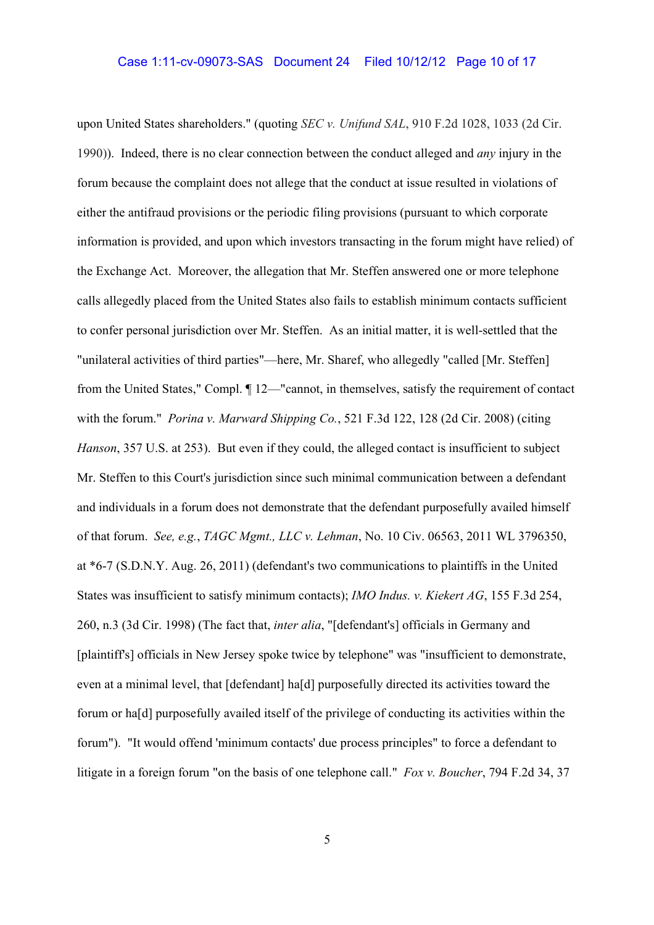upon United States shareholders." (quoting *SEC v. Unifund SAL*, 910 F.2d 1028, 1033 (2d Cir. 1990)). Indeed, there is no clear connection between the conduct alleged and *any* injury in the forum because the complaint does not allege that the conduct at issue resulted in violations of either the antifraud provisions or the periodic filing provisions (pursuant to which corporate information is provided, and upon which investors transacting in the forum might have relied) of the Exchange Act. Moreover, the allegation that Mr. Steffen answered one or more telephone calls allegedly placed from the United States also fails to establish minimum contacts sufficient to confer personal jurisdiction over Mr. Steffen. As an initial matter, it is well-settled that the "unilateral activities of third parties"—here, Mr. Sharef, who allegedly "called [Mr. Steffen] from the United States," Compl.  $\P$  12—"cannot, in themselves, satisfy the requirement of contact with the forum." *Porina v. Marward Shipping Co.*, 521 F.3d 122, 128 (2d Cir. 2008) (citing *Hanson*, 357 U.S. at 253). But even if they could, the alleged contact is insufficient to subject Mr. Steffen to this Court's jurisdiction since such minimal communication between a defendant and individuals in a forum does not demonstrate that the defendant purposefully availed himself of that forum. *See, e.g.*, *TAGC Mgmt., LLC v. Lehman*, No. 10 Civ. 06563, 2011 WL 3796350, at \*6-7 (S.D.N.Y. Aug. 26, 2011) (defendant's two communications to plaintiffs in the United States was insufficient to satisfy minimum contacts); *IMO Indus. v. Kiekert AG*, 155 F.3d 254, 260, n.3 (3d Cir. 1998) (The fact that, *inter alia*, "[defendant's] officials in Germany and [plaintiff's] officials in New Jersey spoke twice by telephone" was "insufficient to demonstrate, even at a minimal level, that [defendant] ha[d] purposefully directed its activities toward the forum or ha[d] purposefully availed itself of the privilege of conducting its activities within the forum"). "It would offend 'minimum contacts' due process principles" to force a defendant to litigate in a foreign forum "on the basis of one telephone call." *Fox v. Boucher*, 794 F.2d 34, 37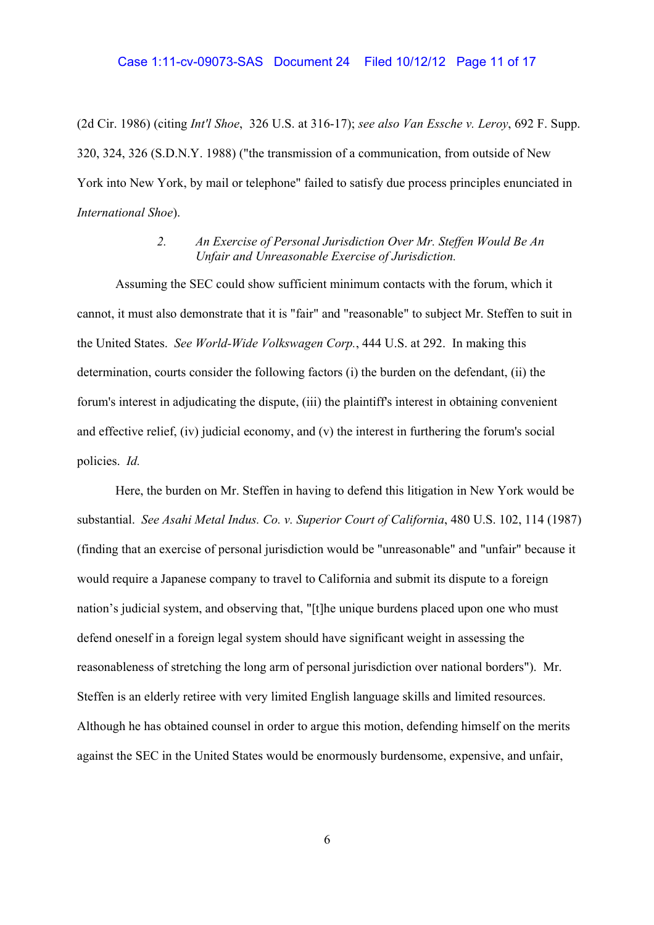(2d Cir. 1986) (citing *Int'l Shoe*, 326 U.S. at 316-17); see also Van Essche v. Leroy, 692 F. Supp. 320, 324, 326 (S.D.N.Y. 1988) ("the transmission of a communication, from outside of New York into New York, by mail or telephone" failed to satisfy due process principles enunciated in International Shoe).

#### $2.$ An Exercise of Personal Jurisdiction Over Mr. Steffen Would Be An Unfair and Unreasonable Exercise of Jurisdiction.

Assuming the SEC could show sufficient minimum contacts with the forum, which it cannot, it must also demonstrate that it is "fair" and "reasonable" to subject Mr. Steffen to suit in the United States. See World-Wide Volkswagen Corp., 444 U.S. at 292. In making this determination, courts consider the following factors (i) the burden on the defendant, (ii) the forum's interest in adjudicating the dispute, (iii) the plaintiff's interest in obtaining convenient and effective relief, (iv) judicial economy, and (v) the interest in furthering the forum's social policies. Id.

Here, the burden on Mr. Steffen in having to defend this litigation in New York would be substantial. See Asahi Metal Indus. Co. v. Superior Court of California, 480 U.S. 102, 114 (1987) (finding that an exercise of personal jurisdiction would be "unreasonable" and "unfair" because it would require a Japanese company to travel to California and submit its dispute to a foreign nation's judicial system, and observing that, "[t] the unique burdens placed upon one who must defend oneself in a foreign legal system should have significant weight in assessing the reasonableness of stretching the long arm of personal jurisdiction over national borders"). Mr. Steffen is an elderly retiree with very limited English language skills and limited resources. Although he has obtained counsel in order to argue this motion, defending himself on the merits against the SEC in the United States would be enormously burdensome, expensive, and unfair,

6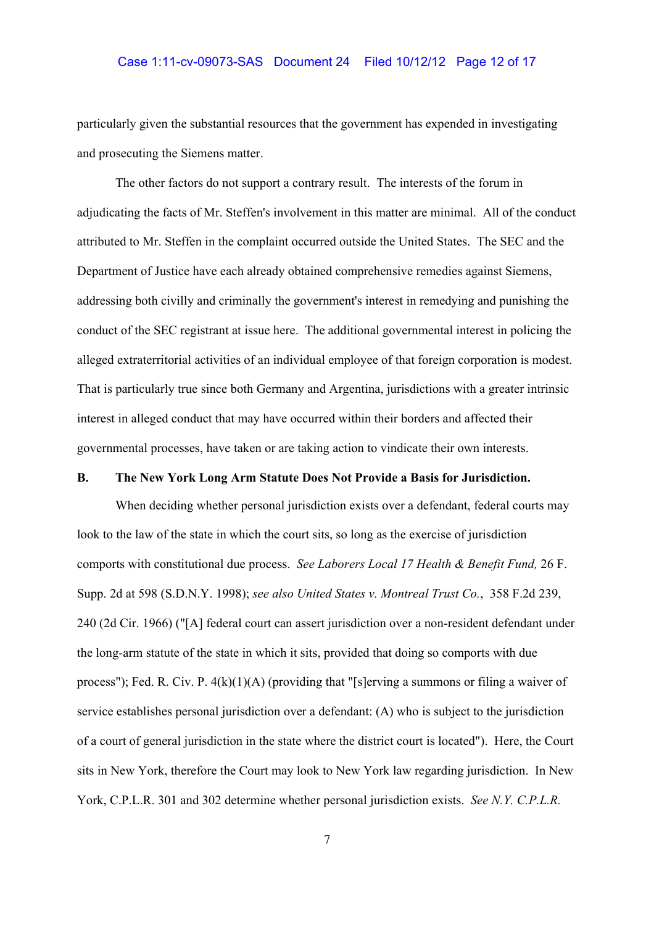## Case 1:11-cv-09073-SAS Document 24 Filed 10/12/12 Page 12 of 17

particularly given the substantial resources that the government has expended in investigating and prosecuting the Siemens matter.

The other factors do not support a contrary result. The interests of the forum in adjudicating the facts of Mr. Steffen's involvement in this matter are minimal. All of the conduct attributed to Mr. Steffen in the complaint occurred outside the United States. The SEC and the Department of Justice have each already obtained comprehensive remedies against Siemens, addressing both civilly and criminally the government's interest in remedying and punishing the conduct of the SEC registrant at issue here. The additional governmental interest in policing the alleged extraterritorial activities of an individual employee of that foreign corporation is modest. That is particularly true since both Germany and Argentina, jurisdictions with a greater intrinsic interest in alleged conduct that may have occurred within their borders and affected their governmental processes, have taken or are taking action to vindicate their own interests.

# **B. The New York Long Arm Statute Does Not Provide a Basis for Jurisdiction.**

When deciding whether personal jurisdiction exists over a defendant, federal courts may look to the law of the state in which the court sits, so long as the exercise of jurisdiction comports with constitutional due process. *See Laborers Local 17 Health & Benefit Fund,* 26 F. Supp. 2d at 598 (S.D.N.Y. 1998); *see also United States v. Montreal Trust Co.*, 358 F.2d 239, 240 (2d Cir. 1966) ("[A] federal court can assert jurisdiction over a non-resident defendant under the long-arm statute of the state in which it sits, provided that doing so comports with due process"); Fed. R. Civ. P. 4(k)(1)(A) (providing that "[s]erving a summons or filing a waiver of service establishes personal jurisdiction over a defendant: (A) who is subject to the jurisdiction of a court of general jurisdiction in the state where the district court is located"). Here, the Court sits in New York, therefore the Court may look to New York law regarding jurisdiction. In New York, C.P.L.R. 301 and 302 determine whether personal jurisdiction exists. *See N.Y. C.P.L.R.*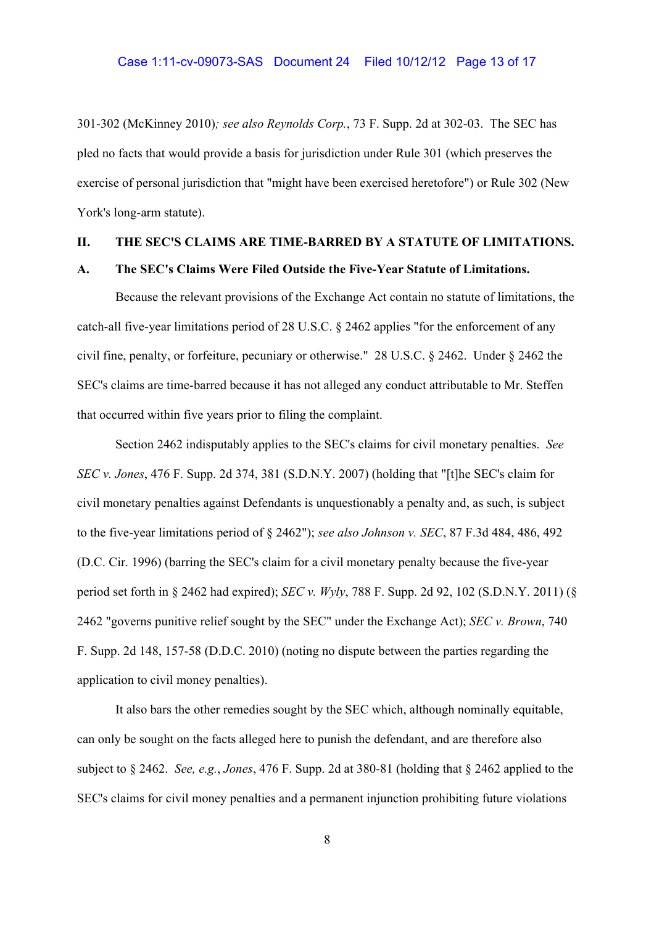301-302 (McKinney 2010)*; see also Reynolds Corp.*, 73 F. Supp. 2d at 302-03. The SEC has pled no facts that would provide a basis for jurisdiction under Rule 301 (which preserves the exercise of personal jurisdiction that "might have been exercised heretofore") or Rule 302 (New York's long-arm statute).

## **II. THE SEC'S CLAIMS ARE TIME-BARRED BY A STATUTE OF LIMITATIONS.**

### **A. The SEC's Claims Were Filed Outside the Five-Year Statute of Limitations.**

Because the relevant provisions of the Exchange Act contain no statute of limitations, the catch-all five-year limitations period of 28 U.S.C. § 2462 applies "for the enforcement of any civil fine, penalty, or forfeiture, pecuniary or otherwise." 28 U.S.C. § 2462. Under § 2462 the SEC's claims are time-barred because it has not alleged any conduct attributable to Mr. Steffen that occurred within five years prior to filing the complaint.

Section 2462 indisputably applies to the SEC's claims for civil monetary penalties. *See SEC v. Jones*, 476 F. Supp. 2d 374, 381 (S.D.N.Y. 2007) (holding that "[t]he SEC's claim for civil monetary penalties against Defendants is unquestionably a penalty and, as such, is subject to the five-year limitations period of § 2462"); *see also Johnson v. SEC*, 87 F.3d 484, 486, 492 (D.C. Cir. 1996) (barring the SEC's claim for a civil monetary penalty because the five-year period set forth in § 2462 had expired); *SEC v. Wyly*, 788 F. Supp. 2d 92, 102 (S.D.N.Y. 2011) (§ 2462 "governs punitive relief sought by the SEC" under the Exchange Act); *SEC v. Brown*, 740 F. Supp. 2d 148, 157-58 (D.D.C. 2010) (noting no dispute between the parties regarding the application to civil money penalties).

It also bars the other remedies sought by the SEC which, although nominally equitable, can only be sought on the facts alleged here to punish the defendant, and are therefore also subject to § 2462. *See, e.g.*, *Jones*, 476 F. Supp. 2d at 380-81 (holding that § 2462 applied to the SEC's claims for civil money penalties and a permanent injunction prohibiting future violations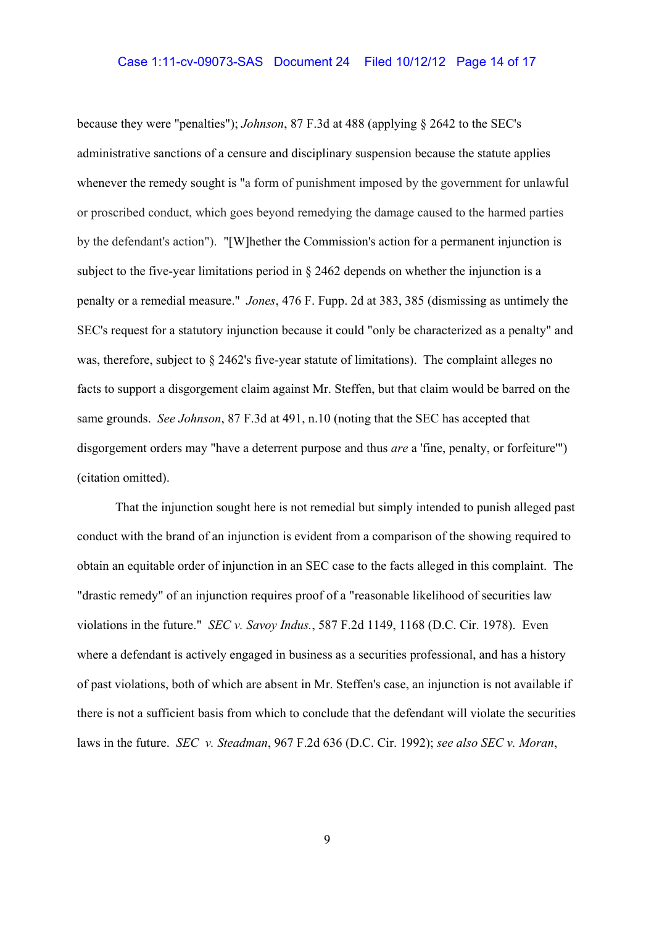### Case 1:11-cv-09073-SAS Document 24 Filed 10/12/12 Page 14 of 17

because they were "penalties"); *Johnson*, 87 F.3d at 488 (applying § 2642 to the SEC's administrative sanctions of a censure and disciplinary suspension because the statute applies whenever the remedy sought is "a form of punishment imposed by the government for unlawful or proscribed conduct, which goes beyond remedying the damage caused to the harmed parties by the defendant's action"). "[W]hether the Commission's action for a permanent injunction is subject to the five-year limitations period in § 2462 depends on whether the injunction is a penalty or a remedial measure." *Jones*, 476 F. Fupp. 2d at 383, 385 (dismissing as untimely the SEC's request for a statutory injunction because it could "only be characterized as a penalty" and was, therefore, subject to § 2462's five-year statute of limitations). The complaint alleges no facts to support a disgorgement claim against Mr. Steffen, but that claim would be barred on the same grounds. *See Johnson*, 87 F.3d at 491, n.10 (noting that the SEC has accepted that disgorgement orders may "have a deterrent purpose and thus *are* a 'fine, penalty, or forfeiture'") (citation omitted).

That the injunction sought here is not remedial but simply intended to punish alleged past conduct with the brand of an injunction is evident from a comparison of the showing required to obtain an equitable order of injunction in an SEC case to the facts alleged in this complaint. The "drastic remedy" of an injunction requires proof of a "reasonable likelihood of securities law violations in the future." *SEC v. Savoy Indus.*, 587 F.2d 1149, 1168 (D.C. Cir. 1978). Even where a defendant is actively engaged in business as a securities professional, and has a history of past violations, both of which are absent in Mr. Steffen's case, an injunction is not available if there is not a sufficient basis from which to conclude that the defendant will violate the securities laws in the future. *SEC v. Steadman*, 967 F.2d 636 (D.C. Cir. 1992); *see also SEC v. Moran*,

9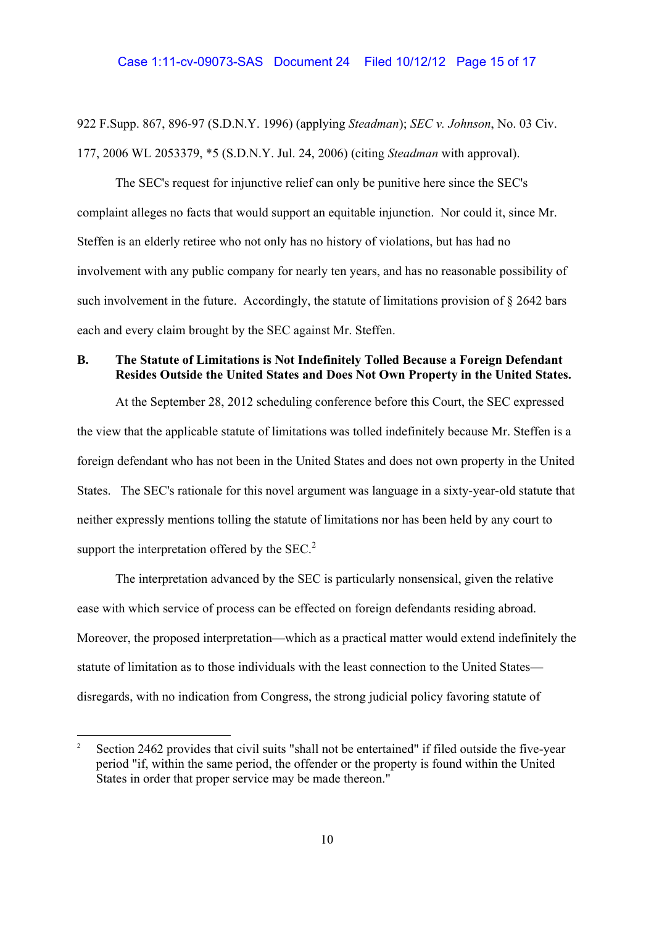## Case 1:11-cv-09073-SAS Document 24 Filed 10/12/12 Page 15 of 17

922 F.Supp. 867, 896-97 (S.D.N.Y. 1996) (applying *Steadman*); *SEC v. Johnson*, No. 03 Civ. 177, 2006 WL 2053379, \*5 (S.D.N.Y. Jul. 24, 2006) (citing *Steadman* with approval).

The SEC's request for injunctive relief can only be punitive here since the SEC's complaint alleges no facts that would support an equitable injunction. Nor could it, since Mr. Steffen is an elderly retiree who not only has no history of violations, but has had no involvement with any public company for nearly ten years, and has no reasonable possibility of such involvement in the future. Accordingly, the statute of limitations provision of § 2642 bars each and every claim brought by the SEC against Mr. Steffen.

# **B. The Statute of Limitations is Not Indefinitely Tolled Because a Foreign Defendant Resides Outside the United States and Does Not Own Property in the United States.**

At the September 28, 2012 scheduling conference before this Court, the SEC expressed the view that the applicable statute of limitations was tolled indefinitely because Mr. Steffen is a foreign defendant who has not been in the United States and does not own property in the United States. The SEC's rationale for this novel argument was language in a sixty-year-old statute that neither expressly mentions tolling the statute of limitations nor has been held by any court to support the interpretation offered by the  $SEC.<sup>2</sup>$ 

The interpretation advanced by the SEC is particularly nonsensical, given the relative ease with which service of process can be effected on foreign defendants residing abroad. Moreover, the proposed interpretation—which as a practical matter would extend indefinitely the statute of limitation as to those individuals with the least connection to the United States disregards, with no indication from Congress, the strong judicial policy favoring statute of

<sup>2</sup> Section 2462 provides that civil suits "shall not be entertained" if filed outside the five-year period "if, within the same period, the offender or the property is found within the United States in order that proper service may be made thereon."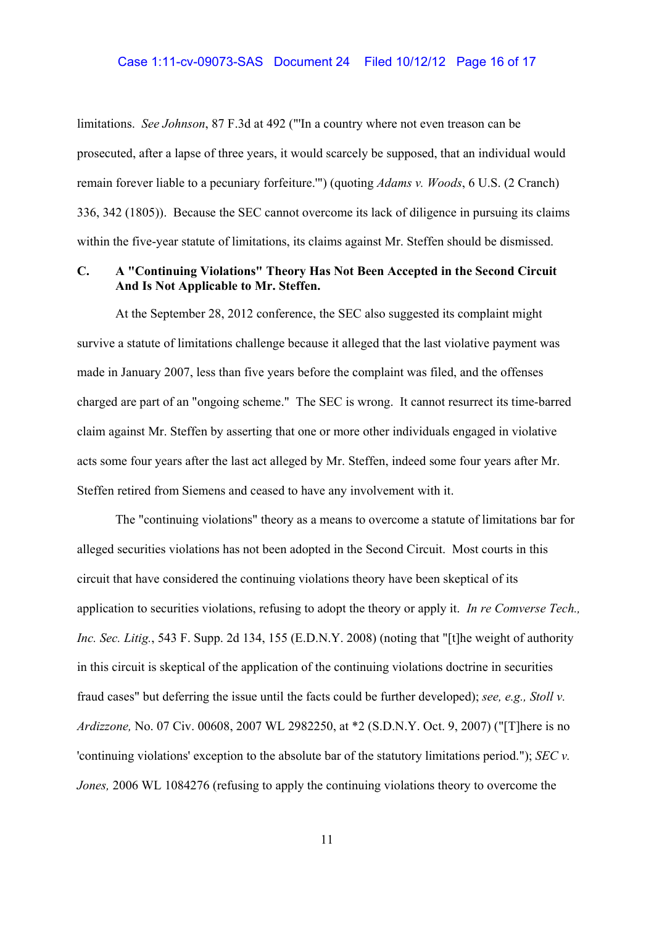## Case 1:11-cv-09073-SAS Document 24 Filed 10/12/12 Page 16 of 17

limitations. *See Johnson*, 87 F.3d at 492 ("'In a country where not even treason can be prosecuted, after a lapse of three years, it would scarcely be supposed, that an individual would remain forever liable to a pecuniary forfeiture.'") (quoting *Adams v. Woods*, 6 U.S. (2 Cranch) 336, 342 (1805)). Because the SEC cannot overcome its lack of diligence in pursuing its claims within the five-year statute of limitations, its claims against Mr. Steffen should be dismissed.

# **C. A "Continuing Violations" Theory Has Not Been Accepted in the Second Circuit And Is Not Applicable to Mr. Steffen.**

At the September 28, 2012 conference, the SEC also suggested its complaint might survive a statute of limitations challenge because it alleged that the last violative payment was made in January 2007, less than five years before the complaint was filed, and the offenses charged are part of an "ongoing scheme." The SEC is wrong. It cannot resurrect its time-barred claim against Mr. Steffen by asserting that one or more other individuals engaged in violative acts some four years after the last act alleged by Mr. Steffen, indeed some four years after Mr. Steffen retired from Siemens and ceased to have any involvement with it.

The "continuing violations" theory as a means to overcome a statute of limitations bar for alleged securities violations has not been adopted in the Second Circuit. Most courts in this circuit that have considered the continuing violations theory have been skeptical of its application to securities violations, refusing to adopt the theory or apply it. *In re Comverse Tech., Inc. Sec. Litig.*, 543 F. Supp. 2d 134, 155 (E.D.N.Y. 2008) (noting that "[t]he weight of authority in this circuit is skeptical of the application of the continuing violations doctrine in securities fraud cases" but deferring the issue until the facts could be further developed); *see, e.g., Stoll v. Ardizzone,* No. 07 Civ. 00608, 2007 WL 2982250, at \*2 (S.D.N.Y. Oct. 9, 2007) ("[T]here is no 'continuing violations' exception to the absolute bar of the statutory limitations period."); *SEC v. Jones,* 2006 WL 1084276 (refusing to apply the continuing violations theory to overcome the